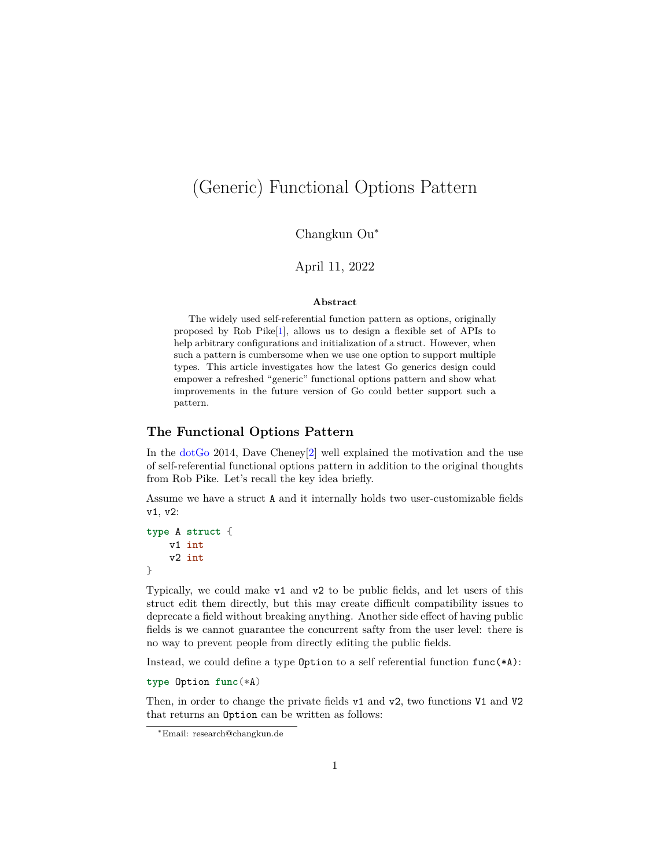# (Generic) Functional Options Pattern

Changkun Ou<sup>∗</sup>

April 11, 2022

#### **Abstract**

The widely used self-referential function pattern as options, originally proposed by Rob Pike[[1](#page-8-0)], allows us to design a flexible set of APIs to help arbitrary configurations and initialization of a struct. However, when such a pattern is cumbersome when we use one option to support multiple types. This article investigates how the latest Go generics design could empower a refreshed "generic" functional options pattern and show what improvements in the future version of Go could better support such a pattern.

#### **The Functional Options Pattern**

In the [dotGo](https://www.dotgo.eu/) 2014, Dave Cheney[[2\]](#page-8-1) well explained the motivation and the use of self-referential functional options pattern in addition to the original thoughts from Rob Pike. Let's recall the key idea briefly.

Assume we have a struct A and it internally holds two user-customizable fields v1, v2:

**type** A **struct** { v1 int v2 int }

Typically, we could make v1 and v2 to be public fields, and let users of this struct edit them directly, but this may create difficult compatibility issues to deprecate a field without breaking anything. Another side effect of having public fields is we cannot guarantee the concurrent safty from the user level: there is no way to prevent people from directly editing the public fields.

Instead, we could define a type Option to a self referential function func(\*A):

**type** Option **func**(\*A)

Then, in order to change the private fields v1 and v2, two functions V1 and V2 that returns an Option can be written as follows:

<sup>∗</sup>Email: research@changkun.de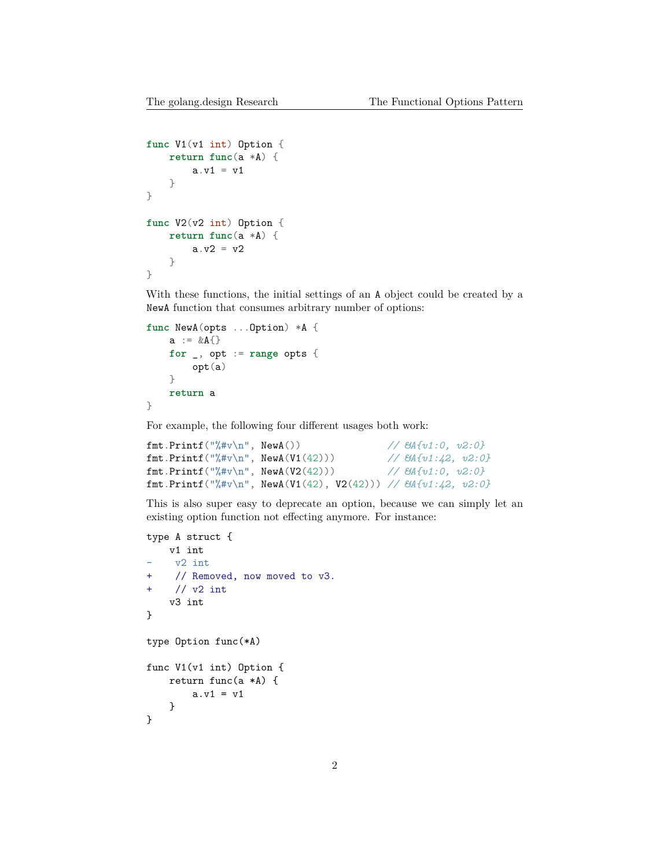```
func V1(v1 int) Option {
   return func(a *A) {
        a.v1 = v1}
}
func V2(v2 int) Option {
   return func(a *A) {
        a.v2 = v2}
}
```
With these functions, the initial settings of an A object could be created by a NewA function that consumes arbitrary number of options:

```
func NewA(opts ...Option) *A {
    a := \& A\{\}for _, opt := range opts {
        opt(a)
    }
    return a
}
```
For example, the following four different usages both work:

```
fmt.Printf("%#v\n", NewA()) // &A{v1:0, v2:0}
fmt.Printf("%#v\n", NewA(V1(42))) // &A{v1:42, v2:0}
fmt.Printf("%#v\n", NewA(V2(42))) // &A{v1:0, v2:0}
fmt.Printf("%#v\n", NewA(V1(42), V2(42))) // &A{v1:42, v2:0}
```
This is also super easy to deprecate an option, because we can simply let an existing option function not effecting anymore. For instance:

```
type A struct {
   v1 int
    - v2 int
+ // Removed, now moved to v3.
+ // v2 int
    v3 int
}
type Option func(*A)
func V1(v1 int) Option {
   return func(a *A) {
        a.v1 = v1}
}
```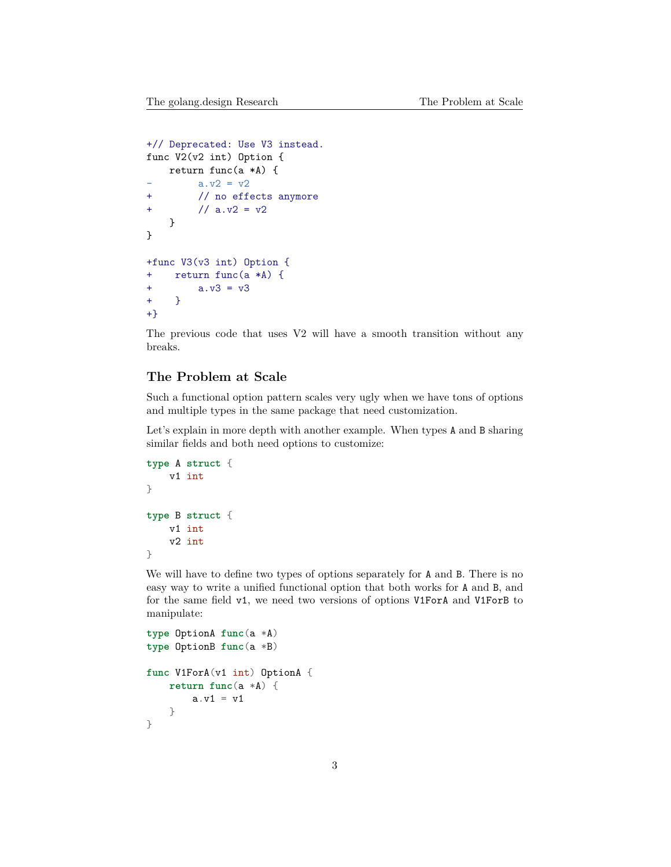```
+// Deprecated: Use V3 instead.
func V2(v2 int) Option {
   return func(a *A) {
       a.v2 = v2+ // no effects anymore
+ // a.v2 = v2}
}
+func V3(v3 int) Option {
+ return func(a *A) {
+ a.v3 = v3+ }
+}
```
The previous code that uses V2 will have a smooth transition without any breaks.

## **The Problem at Scale**

Such a functional option pattern scales very ugly when we have tons of options and multiple types in the same package that need customization.

Let's explain in more depth with another example. When types A and B sharing similar fields and both need options to customize:

```
type A struct {
    v1 int
}
type B struct {
    v1 int
    v2 int
}
```
We will have to define two types of options separately for A and B. There is no easy way to write a unified functional option that both works for A and B, and for the same field v1, we need two versions of options V1ForA and V1ForB to manipulate:

```
type OptionA func(a *A)
type OptionB func(a *B)
func V1ForA(v1 int) OptionA {
   return func(a *A) {
        a.v1 = v1}
}
```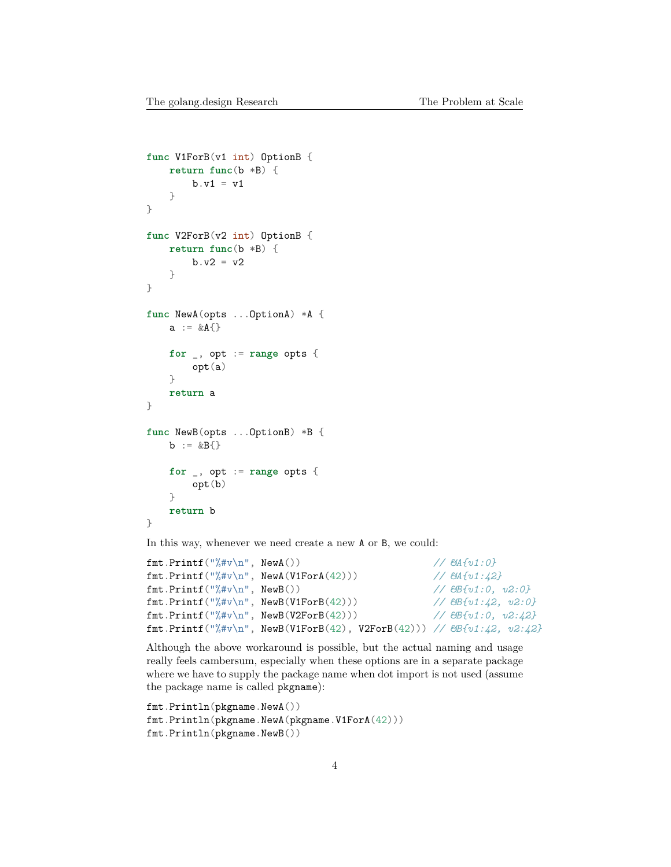```
func V1ForB(v1 int) OptionB {
   return func(b *B) {
        b.v1 = v1}
}
func V2ForB(v2 int) OptionB {
    return func(b *B) {
        b.v2 = v2}
}
func NewA(opts ...OptionA) *A {
    a := \& A\for _, opt := range opts {
        opt(a)
    }
    return a
}
func NewB(opts ...OptionB) *B {
   b := \&B\{\}for _, opt := range opts {
        opt(b)
    }
    return b
}
```
In this way, whenever we need create a new A or B, we could:

```
fmt.Printf("%#v\n", NewA()) // &A{v1:0}
fmt.Printf("%#v\n", NewA(V1ForA(42))) // &A{v1:42}
fmt.Printf("%#v\n", NewB()) // &B{v1:0, v2:0}
fmt.Printf("%#v\n", NewB(V1ForB(42))) // &B{v1:42, v2:0}
fmt.Printf("%#v\n", NewB(V2ForB(42))) // &B{v1:0, v2:42}
fmt.Printf("%#v\n", NewB(V1ForB(42), V2ForB(42))) // &B{v1:42, v2:42}
```
Although the above workaround is possible, but the actual naming and usage really feels cambersum, especially when these options are in a separate package where we have to supply the package name when dot import is not used (assume the package name is called pkgname):

```
fmt.Println(pkgname.NewA())
fmt.Println(pkgname.NewA(pkgname.V1ForA(42)))
fmt.Println(pkgname.NewB())
```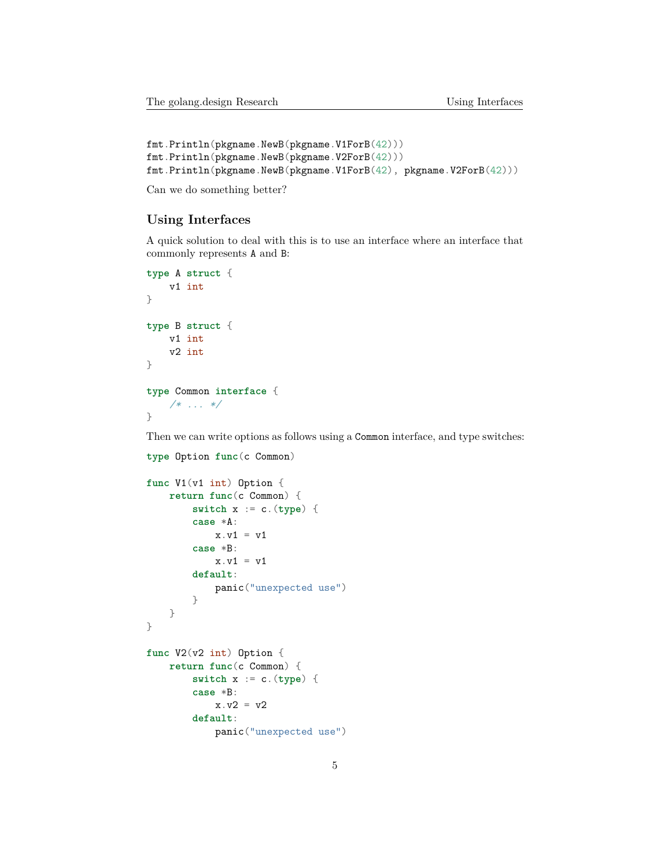```
fmt.Println(pkgname.NewB(pkgname.V1ForB(42)))
fmt.Println(pkgname.NewB(pkgname.V2ForB(42)))
fmt.Println(pkgname.NewB(pkgname.V1ForB(42), pkgname.V2ForB(42)))
```
Can we do something better?

## **Using Interfaces**

A quick solution to deal with this is to use an interface where an interface that commonly represents A and B:

```
type A struct {
    v1 int
}
type B struct {
   v1 int
    v2 int
}
type Common interface {
    /* ... */
}
```
Then we can write options as follows using a Common interface, and type switches:

**type** Option **func**(c Common)

```
func V1(v1 int) Option {
    return func(c Common) {
        switch x := c.(type) {
        case *A:
            x. v1 = v1case *B:
            x.v1 = v1default:
            panic("unexpected use")
        }
    }
}
func V2(v2 int) Option {
    return func(c Common) {
        switch x := c.(type) {
        case *B:
            x.v2 = v2
        default:
            panic("unexpected use")
```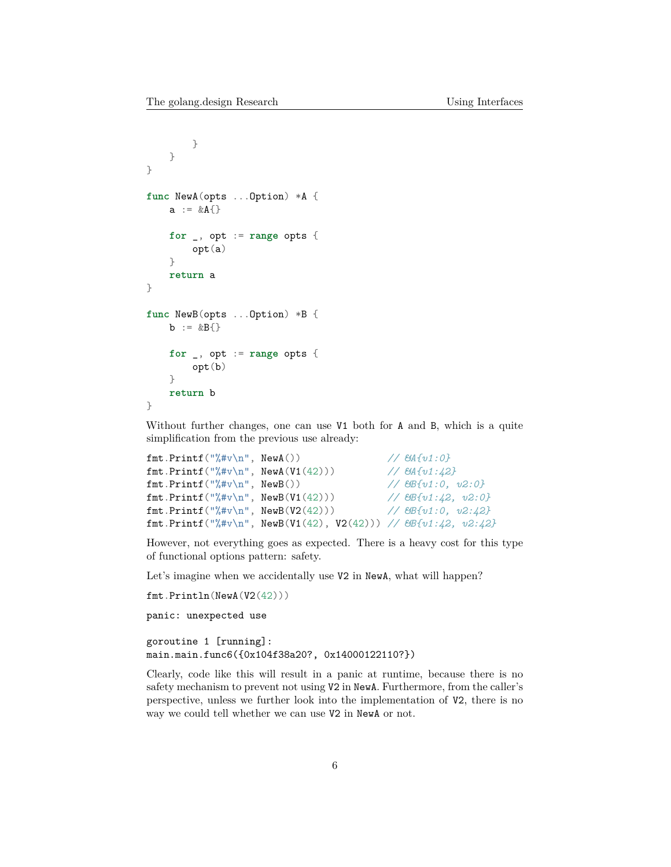```
}
    }
}
func NewA(opts ...Option) *A {
    a := \& A\{\}for _, opt := range opts {
        opt(a)
    }
    return a
}
func NewB(opts ...Option) *B {
    b := \&B\{\}for _, opt := range opts {
        opt(b)
    }
    return b
}
```
Without further changes, one can use V1 both for A and B, which is a quite simplification from the previous use already:

```
fmt.Printf("%#v\n", NewA()) // &A{v1:0}
fmt.Printf("%#v\n", NewA(V1(42))) // &A{v1:42}
fmt.Printf("%#v\n", NewB()) // &B{v1:0, v2:0}
fmt.Printf("%#v\n", NewB(V1(42))) \qquad // \&Fv1:42, v2:0}
fmt.Printf("%#v\n", NewB(V2(42))) // &B{v1:0, v2:42}
fmt.Printf("%#v\n", NewB(V1(42), V2(42))) // &B{v1:42, v2:42}
```
However, not everything goes as expected. There is a heavy cost for this type of functional options pattern: safety.

Let's imagine when we accidentally use V2 in NewA, what will happen?

```
fmt.Println(NewA(V2(42)))
panic: unexpected use
goroutine 1 [running]:
main.main.func6({0x104f38a20?, 0x14000122110?})
```
Clearly, code like this will result in a panic at runtime, because there is no safety mechanism to prevent not using V2 in NewA. Furthermore, from the caller's perspective, unless we further look into the implementation of V2, there is no way we could tell whether we can use V2 in NewA or not.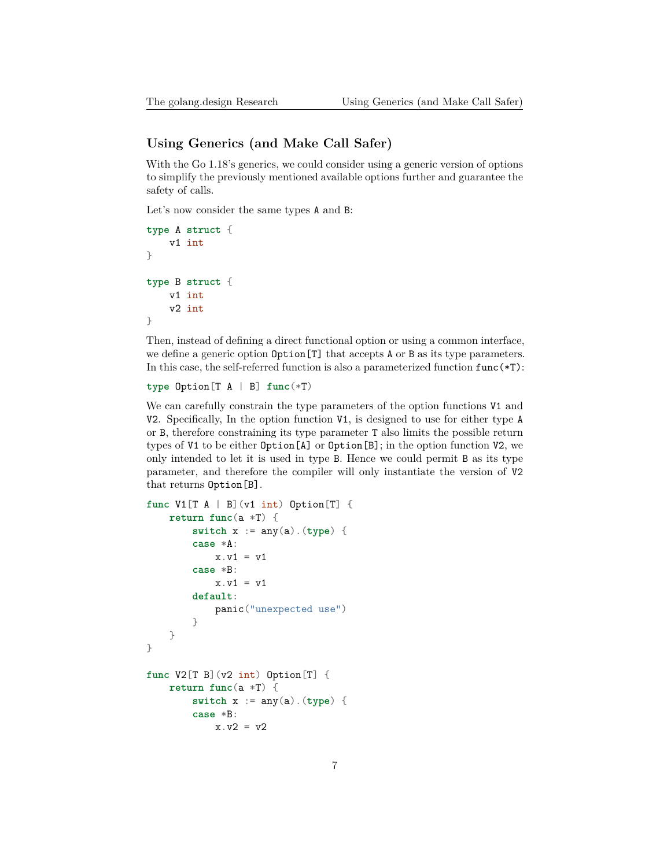## **Using Generics (and Make Call Safer)**

With the Go 1.18's generics, we could consider using a generic version of options to simplify the previously mentioned available options further and guarantee the safety of calls.

Let's now consider the same types A and B:

```
type A struct {
    v1 int
}
type B struct {
    v1 int
    v2 int
}
```
Then, instead of defining a direct functional option or using a common interface, we define a generic option  $[$ T] that accepts A or B as its type parameters. In this case, the self-referred function is also a parameterized function func(\*T):

**type** Option[T A | B] **func**(\*T)

We can carefully constrain the type parameters of the option functions V1 and V2. Specifically, In the option function V1, is designed to use for either type A or B, therefore constraining its type parameter T also limits the possible return types of V1 to be either Option[A] or Option[B]; in the option function V2, we only intended to let it is used in type B. Hence we could permit B as its type parameter, and therefore the compiler will only instantiate the version of V2 that returns Option[B].

```
func V1[T A | B](v1 int) Option[T] {
    return func(a *T) {
        switch x := any(a).(type) {
        case *A:
            x.v1 = v1case *B:
            x.v1 = v1default:
            panic("unexpected use")
        }
    }
}
func V2[T B](v2 int) Option[T] {
    return func(a *T) {
        switch x := any(a).(type) {
        case *B:
            x.v2 = v2
```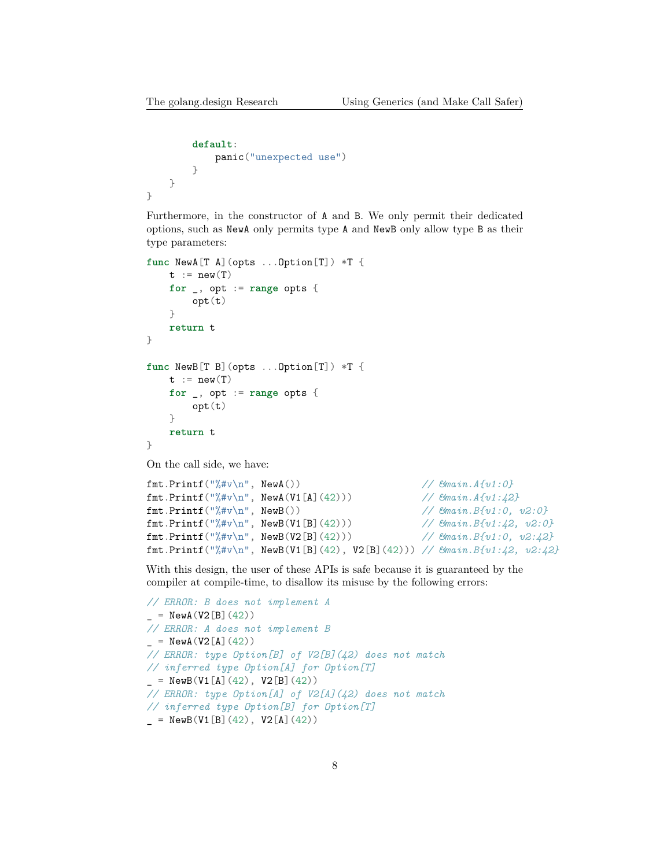```
default:
             panic("unexpected use")
         }
    }
}
```
Furthermore, in the constructor of A and B. We only permit their dedicated options, such as NewA only permits type A and NewB only allow type B as their type parameters:

```
func NewA[T A](opts ...Option[T]) *T {
   t := new(T)for _, opt := range opts {
        opt(t)
    }
   return t
}
func NewB[T B](opts ...Option[T]) *T {
   t := new(T)for _, opt := range opts {
       opt(t)
    }
   return t
}
```
On the call side, we have:

```
fmt.Printf("%#v\n", NewA()) // &main.A{v1:0}
fmt.Printf("%#v\n", NewA(V1[A](42))) // &main.A{v1:42}
fmt.Printf("%#v\n", NewB()) // &main.B{v1:0, v2:0}
fmt.Printf("%#v\n", NewB(V1[B](42))) // &main.B{v1:42, v2:0}
fmt.Printf("%#v\n", NewB(V2[B](42))) // &main.B{v1:0, v2:42}
fmt.Printf("%#v\n", NewB(V1[B](42), V2[B](42))) // &main.B{v1:42, v2:42}
```
With this design, the user of these APIs is safe because it is guaranteed by the compiler at compile-time, to disallow its misuse by the following errors:

```
// ERROR: B does not implement A
 = \text{NewA}(V2[B](42))// ERROR: A does not implement B
= NewA(V2[A](42))
// ERROR: type Option[B] of V2[B](42) does not match
// inferred type Option[A] for Option[T]
= NewB(V1[A](42), V2[B](42))
// ERROR: type Option[A] of V2[A](42) does not match
// inferred type Option[B] for Option[T]
= NewB(V1[B](42), V2[A](42))
```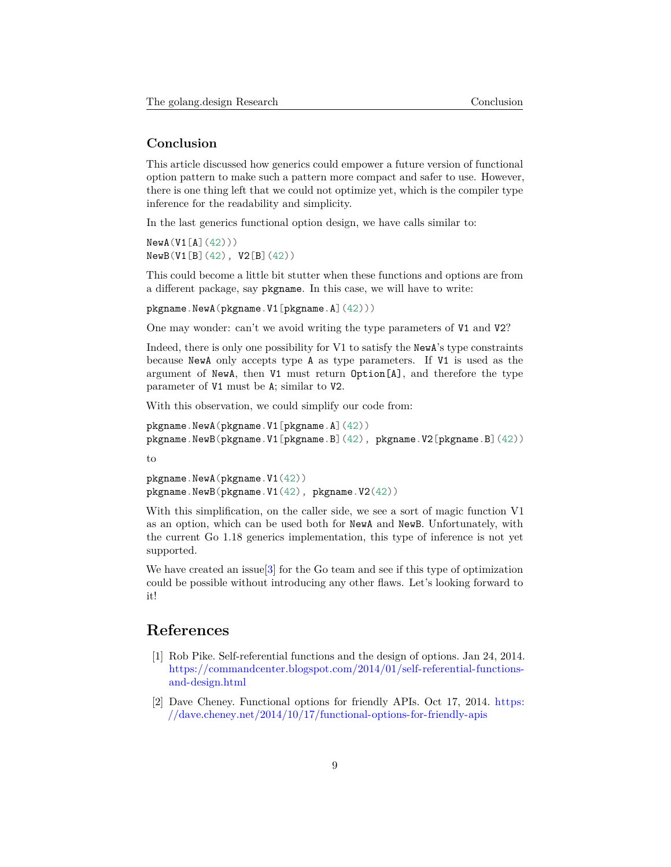## **Conclusion**

This article discussed how generics could empower a future version of functional option pattern to make such a pattern more compact and safer to use. However, there is one thing left that we could not optimize yet, which is the compiler type inference for the readability and simplicity.

In the last generics functional option design, we have calls similar to:

 $NewA(V1[A](42)))$  $NewB(V1[B](42), V2[B](42))$ 

This could become a little bit stutter when these functions and options are from a different package, say pkgname. In this case, we will have to write:

pkgname.NewA(pkgname.V1[pkgname.A](42)))

One may wonder: can't we avoid writing the type parameters of V1 and V2?

Indeed, there is only one possibility for V1 to satisfy the NewA's type constraints because NewA only accepts type A as type parameters. If V1 is used as the argument of NewA, then V1 must return Option[A], and therefore the type parameter of V1 must be A; similar to V2.

With this observation, we could simplify our code from:

```
pkgname.NewA(pkgname.V1[pkgname.A](42))
pkgname.NewB(pkgname.V1[pkgname.B](42), pkgname.V2[pkgname.B](42))
```
to

pkgname.NewA(pkgname.V1(42)) pkgname.NewB(pkgname.V1(42), pkgname.V2(42))

With this simplification, on the caller side, we see a sort of magic function V1 as an option, which can be used both for NewA and NewB. Unfortunately, with the current Go 1.18 generics implementation, this type of inference is not yet supported.

We have created an issue [\[3](#page-9-0)] for the Go team and see if this type of optimization could be possible without introducing any other flaws. Let's looking forward to it!

## **References**

- <span id="page-8-0"></span>[1] Rob Pike. Self-referential functions and the design of options. Jan 24, 2014. [https://commandcenter.blogspot.com/2014/01/self-referential-functions](https://commandcenter.blogspot.com/2014/01/self-referential-functions-and-design.html)[and-design.html](https://commandcenter.blogspot.com/2014/01/self-referential-functions-and-design.html)
- <span id="page-8-1"></span>[2] Dave Cheney. Functional options for friendly APIs. Oct 17, 2014. [https:](https://dave.cheney.net/2014/10/17/functional-options-for-friendly-apis) [//dave.cheney.net/2014/10/17/functional-options-for-friendly-apis](https://dave.cheney.net/2014/10/17/functional-options-for-friendly-apis)